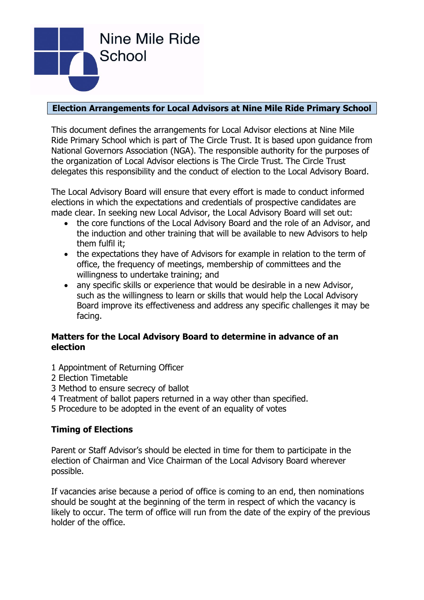

# **Election Arrangements for Local Advisors at Nine Mile Ride Primary School**

This document defines the arrangements for Local Advisor elections at Nine Mile Ride Primary School which is part of The Circle Trust. It is based upon guidance from National Governors Association (NGA). The responsible authority for the purposes of the organization of Local Advisor elections is The Circle Trust. The Circle Trust delegates this responsibility and the conduct of election to the Local Advisory Board.

The Local Advisory Board will ensure that every effort is made to conduct informed elections in which the expectations and credentials of prospective candidates are made clear. In seeking new Local Advisor, the Local Advisory Board will set out:

- the core functions of the Local Advisory Board and the role of an Advisor, and the induction and other training that will be available to new Advisors to help them fulfil it;
- the expectations they have of Advisors for example in relation to the term of office, the frequency of meetings, membership of committees and the willingness to undertake training; and
- any specific skills or experience that would be desirable in a new Advisor, such as the willingness to learn or skills that would help the Local Advisory Board improve its effectiveness and address any specific challenges it may be facing.

## **Matters for the Local Advisory Board to determine in advance of an election**

- 1 Appointment of Returning Officer
- 2 Election Timetable
- 3 Method to ensure secrecy of ballot
- 4 Treatment of ballot papers returned in a way other than specified.
- 5 Procedure to be adopted in the event of an equality of votes

## **Timing of Elections**

Parent or Staff Advisor's should be elected in time for them to participate in the election of Chairman and Vice Chairman of the Local Advisory Board wherever possible.

If vacancies arise because a period of office is coming to an end, then nominations should be sought at the beginning of the term in respect of which the vacancy is likely to occur. The term of office will run from the date of the expiry of the previous holder of the office.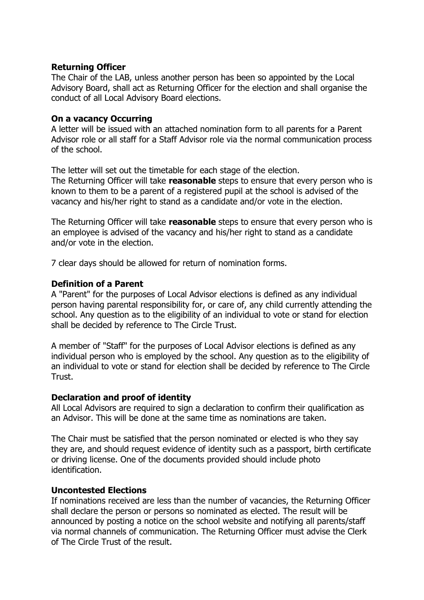### **Returning Officer**

The Chair of the LAB, unless another person has been so appointed by the Local Advisory Board, shall act as Returning Officer for the election and shall organise the conduct of all Local Advisory Board elections.

### **On a vacancy Occurring**

A letter will be issued with an attached nomination form to all parents for a Parent Advisor role or all staff for a Staff Advisor role via the normal communication process of the school.

The letter will set out the timetable for each stage of the election.

The Returning Officer will take **reasonable** steps to ensure that every person who is known to them to be a parent of a registered pupil at the school is advised of the vacancy and his/her right to stand as a candidate and/or vote in the election.

The Returning Officer will take **reasonable** steps to ensure that every person who is an employee is advised of the vacancy and his/her right to stand as a candidate and/or vote in the election.

7 clear days should be allowed for return of nomination forms.

#### **Definition of a Parent**

A "Parent" for the purposes of Local Advisor elections is defined as any individual person having parental responsibility for, or care of, any child currently attending the school. Any question as to the eligibility of an individual to vote or stand for election shall be decided by reference to The Circle Trust.

A member of "Staff" for the purposes of Local Advisor elections is defined as any individual person who is employed by the school. Any question as to the eligibility of an individual to vote or stand for election shall be decided by reference to The Circle Trust.

#### **Declaration and proof of identity**

All Local Advisors are required to sign a declaration to confirm their qualification as an Advisor. This will be done at the same time as nominations are taken.

The Chair must be satisfied that the person nominated or elected is who they say they are, and should request evidence of identity such as a passport, birth certificate or driving license. One of the documents provided should include photo identification.

#### **Uncontested Elections**

If nominations received are less than the number of vacancies, the Returning Officer shall declare the person or persons so nominated as elected. The result will be announced by posting a notice on the school website and notifying all parents/staff via normal channels of communication. The Returning Officer must advise the Clerk of The Circle Trust of the result.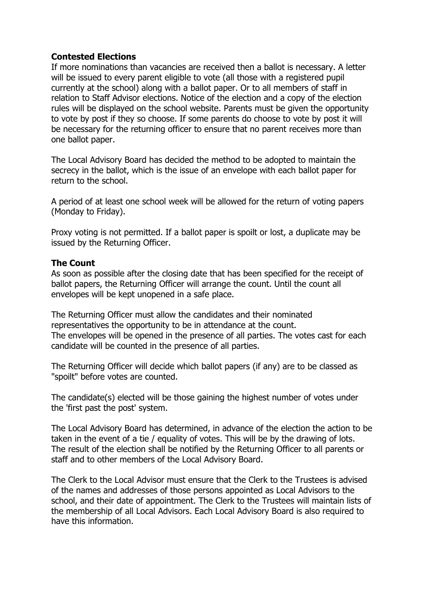## **Contested Elections**

If more nominations than vacancies are received then a ballot is necessary. A letter will be issued to every parent eligible to vote (all those with a registered pupil currently at the school) along with a ballot paper. Or to all members of staff in relation to Staff Advisor elections. Notice of the election and a copy of the election rules will be displayed on the school website. Parents must be given the opportunity to vote by post if they so choose. If some parents do choose to vote by post it will be necessary for the returning officer to ensure that no parent receives more than one ballot paper.

The Local Advisory Board has decided the method to be adopted to maintain the secrecy in the ballot, which is the issue of an envelope with each ballot paper for return to the school.

A period of at least one school week will be allowed for the return of voting papers (Monday to Friday).

Proxy voting is not permitted. If a ballot paper is spoilt or lost, a duplicate may be issued by the Returning Officer.

### **The Count**

As soon as possible after the closing date that has been specified for the receipt of ballot papers, the Returning Officer will arrange the count. Until the count all envelopes will be kept unopened in a safe place.

The Returning Officer must allow the candidates and their nominated representatives the opportunity to be in attendance at the count. The envelopes will be opened in the presence of all parties. The votes cast for each candidate will be counted in the presence of all parties.

The Returning Officer will decide which ballot papers (if any) are to be classed as "spoilt" before votes are counted.

The candidate(s) elected will be those gaining the highest number of votes under the 'first past the post' system.

The Local Advisory Board has determined, in advance of the election the action to be taken in the event of a tie / equality of votes. This will be by the drawing of lots. The result of the election shall be notified by the Returning Officer to all parents or staff and to other members of the Local Advisory Board.

The Clerk to the Local Advisor must ensure that the Clerk to the Trustees is advised of the names and addresses of those persons appointed as Local Advisors to the school, and their date of appointment. The Clerk to the Trustees will maintain lists of the membership of all Local Advisors. Each Local Advisory Board is also required to have this information.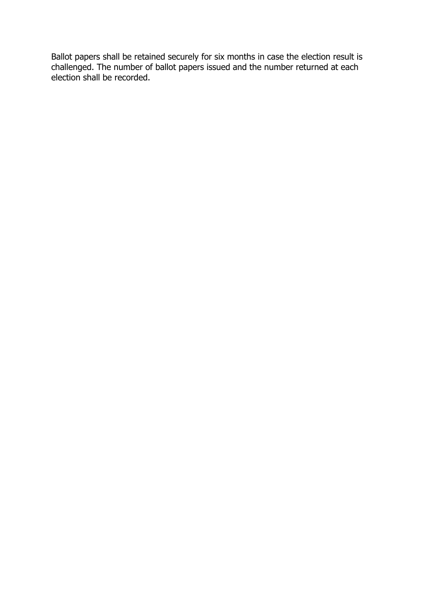Ballot papers shall be retained securely for six months in case the election result is challenged. The number of ballot papers issued and the number returned at each election shall be recorded.